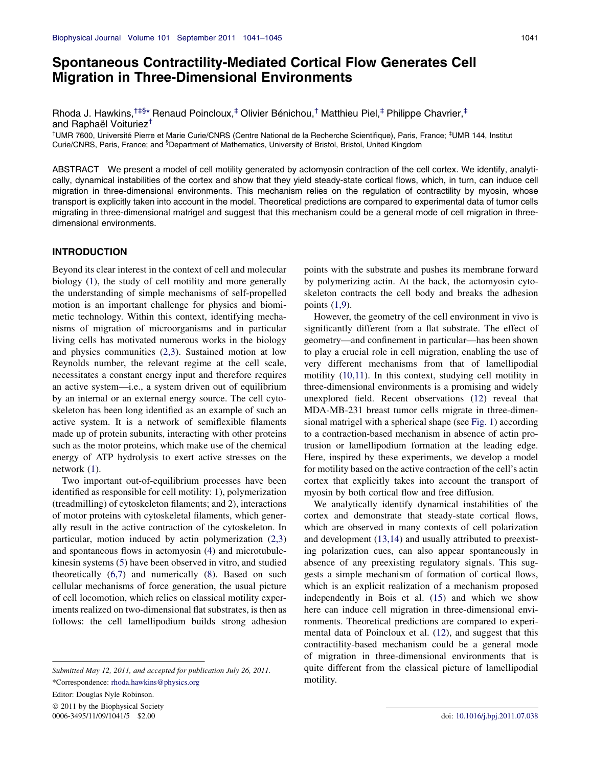# Spontaneous Contractility-Mediated Cortical Flow Generates Cell Migration in Three-Dimensional Environments

Rhoda J. Hawkins,<sup>†‡§[\\*](#page-0-0)</sup> Renaud Poincloux,<sup>‡</sup> Olivier Bénichou,<sup>†</sup> Matthieu Piel,<sup>‡</sup> Philippe Chavrier,<sup>‡</sup> and Raphaël Voituriez<sup>†</sup>

<sup>†</sup>UMR 7600, Université Pierre et Marie Curie/CNRS (Centre National de la Recherche Scientifique), Paris, France; <sup>‡</sup>UMR 144, Institut Curie/CNRS, Paris, France; and <sup>§</sup>Department of Mathematics, University of Bristol, Bristol, United Kingdom

ABSTRACT We present a model of cell motility generated by actomyosin contraction of the cell cortex. We identify, analytically, dynamical instabilities of the cortex and show that they yield steady-state cortical flows, which, in turn, can induce cell migration in three-dimensional environments. This mechanism relies on the regulation of contractility by myosin, whose transport is explicitly taken into account in the model. Theoretical predictions are compared to experimental data of tumor cells migrating in three-dimensional matrigel and suggest that this mechanism could be a general mode of cell migration in threedimensional environments.

### INTRODUCTION

Beyond its clear interest in the context of cell and molecular biology [\(1](#page-4-0)), the study of cell motility and more generally the understanding of simple mechanisms of self-propelled motion is an important challenge for physics and biomimetic technology. Within this context, identifying mechanisms of migration of microorganisms and in particular living cells has motivated numerous works in the biology and physics communities ([2,3](#page-4-0)). Sustained motion at low Reynolds number, the relevant regime at the cell scale, necessitates a constant energy input and therefore requires an active system—i.e., a system driven out of equilibrium by an internal or an external energy source. The cell cytoskeleton has been long identified as an example of such an active system. It is a network of semiflexible filaments made up of protein subunits, interacting with other proteins such as the motor proteins, which make use of the chemical energy of ATP hydrolysis to exert active stresses on the network ([1\)](#page-4-0).

Two important out-of-equilibrium processes have been identified as responsible for cell motility: 1), polymerization (treadmilling) of cytoskeleton filaments; and 2), interactions of motor proteins with cytoskeletal filaments, which generally result in the active contraction of the cytoskeleton. In particular, motion induced by actin polymerization ([2,3](#page-4-0)) and spontaneous flows in actomyosin ([4\)](#page-4-0) and microtubulekinesin systems ([5\)](#page-4-0) have been observed in vitro, and studied theoretically ([6,7](#page-4-0)) and numerically ([8\)](#page-4-0). Based on such cellular mechanisms of force generation, the usual picture of cell locomotion, which relies on classical motility experiments realized on two-dimensional flat substrates, is then as follows: the cell lamellipodium builds strong adhesion

\*Correspondence: [rhoda.hawkins@physics.org](mailto:rhoda.hawkins@physics.org)

Editor: Douglas Nyle Robinson.

<span id="page-0-0"></span> $© 2011$  by the Biophysical Society 0006-3495/11/09/1041/5 \$2.00 doi: [10.1016/j.bpj.2011.07.038](http://dx.doi.org/10.1016/j.bpj.2011.07.038)

points with the substrate and pushes its membrane forward by polymerizing actin. At the back, the actomyosin cytoskeleton contracts the cell body and breaks the adhesion points [\(1,9\)](#page-4-0).

However, the geometry of the cell environment in vivo is significantly different from a flat substrate. The effect of geometry—and confinement in particular—has been shown to play a crucial role in cell migration, enabling the use of very different mechanisms from that of lamellipodial motility ([10,11](#page-4-0)). In this context, studying cell motility in three-dimensional environments is a promising and widely unexplored field. Recent observations ([12\)](#page-4-0) reveal that MDA-MB-231 breast tumor cells migrate in three-dimensional matrigel with a spherical shape (see [Fig. 1](#page-1-0)) according to a contraction-based mechanism in absence of actin protrusion or lamellipodium formation at the leading edge. Here, inspired by these experiments, we develop a model for motility based on the active contraction of the cell's actin cortex that explicitly takes into account the transport of myosin by both cortical flow and free diffusion.

We analytically identify dynamical instabilities of the cortex and demonstrate that steady-state cortical flows, which are observed in many contexts of cell polarization and development [\(13,14\)](#page-4-0) and usually attributed to preexisting polarization cues, can also appear spontaneously in absence of any preexisting regulatory signals. This suggests a simple mechanism of formation of cortical flows, which is an explicit realization of a mechanism proposed independently in Bois et al. [\(15](#page-4-0)) and which we show here can induce cell migration in three-dimensional environments. Theoretical predictions are compared to experimental data of Poincloux et al. [\(12](#page-4-0)), and suggest that this contractility-based mechanism could be a general mode of migration in three-dimensional environments that is quite different from the classical picture of lamellipodial motility.

Submitted May 12, 2011, and accepted for publication July 26, 2011.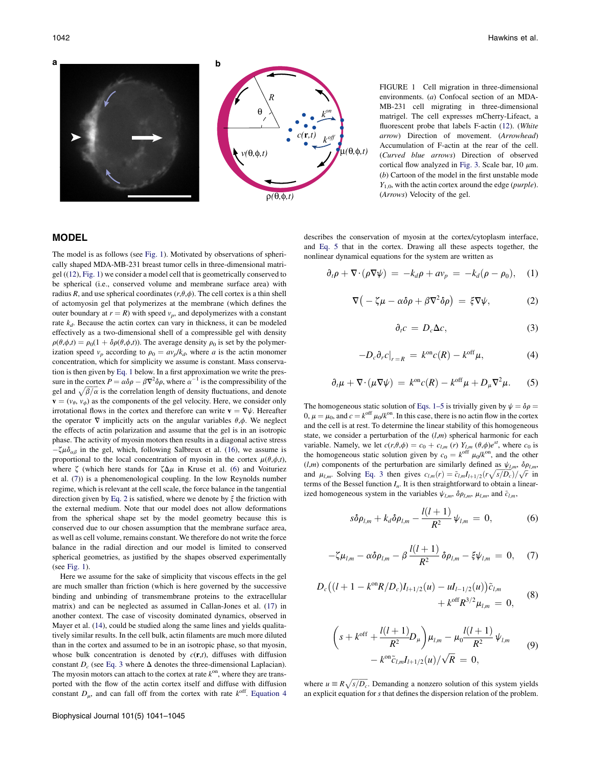

FIGURE 1 Cell migration in three-dimensional environments. (a) Confocal section of an MDA-MB-231 cell migrating in three-dimensional matrigel. The cell expresses mCherry-Lifeact, a fluorescent probe that labels F-actin ([12](#page-4-0)). (White arrow) Direction of movement. (Arrowhead) Accumulation of F-actin at the rear of the cell. (Curved blue arrows) Direction of observed cortical flow analyzed in [Fig. 3](#page-3-0). Scale bar,  $10 \mu m$ . (b) Cartoon of the model in the first unstable mode  $Y_{1,0}$ , with the actin cortex around the edge (*purple*). (Arrows) Velocity of the gel.

# **MODEL**

The model is as follows (see [Fig. 1](#page-1-0)). Motivated by observations of spherically shaped MDA-MB-231 breast tumor cells in three-dimensional matrigel ([\(12](#page-4-0)), [Fig. 1\)](#page-1-0) we consider a model cell that is geometrically conserved to be spherical (i.e., conserved volume and membrane surface area) with radius R, and use spherical coordinates  $(r, \theta, \phi)$ . The cell cortex is a thin shell of actomyosin gel that polymerizes at the membrane (which defines the outer boundary at  $r = R$ ) with speed  $v_p$ , and depolymerizes with a constant rate  $k_d$ . Because the actin cortex can vary in thickness, it can be modeled effectively as a two-dimensional shell of a compressible gel with density  $\rho(\theta,\phi,t) = \rho_0(1 + \delta\rho(\theta,\phi,t))$ . The average density  $\rho_0$  is set by the polymerization speed  $v_p$  according to  $\rho_0 = av_p/k_d$ , where a is the actin monomer concentration, which for simplicity we assume is constant. Mass conservation is then given by [Eq. 1](#page-1-0) below. In a first approximation we write the pressure in the cortex  $P = \alpha \delta \rho - \beta \nabla^2 \delta \rho$ , where  $\alpha^{-1}$  is the compressibility of the gel and  $\sqrt{\beta/\alpha}$  is the correlation length of density fluctuations, and denote  $\mathbf{v} = (v_{\theta}, v_{\phi})$  as the components of the gel velocity. Here, we consider only irrotational flows in the cortex and therefore can write  $\mathbf{v} = \nabla \psi$ . Hereafter the operator  $\nabla$  implicitly acts on the angular variables  $\theta$ , $\phi$ . We neglect the effects of actin polarization and assume that the gel is in an isotropic phase. The activity of myosin motors then results in a diagonal active stress  $-\zeta \mu \delta_{\alpha\beta}$  in the gel, which, following Salbreux et al. [\(16](#page-4-0)), we assume is proportional to the local concentration of myosin in the cortex  $\mu(\theta,\phi,t)$ , where  $\zeta$  (which here stands for  $\zeta \Delta \mu$  in Kruse et al. ([6\)](#page-4-0) and Voituriez et al. ([7\)](#page-4-0)) is a phenomenological coupling. In the low Reynolds number regime, which is relevant at the cell scale, the force balance in the tangential direction given by [Eq. 2](#page-1-0) is satisfied, where we denote by  $\xi$  the friction with the external medium. Note that our model does not allow deformations from the spherical shape set by the model geometry because this is conserved due to our chosen assumption that the membrane surface area, as well as cell volume, remains constant. We therefore do not write the force balance in the radial direction and our model is limited to conserved spherical geometries, as justified by the shapes observed experimentally (see [Fig. 1\)](#page-1-0).

<span id="page-1-0"></span>Here we assume for the sake of simplicity that viscous effects in the gel are much smaller than friction (which is here governed by the successive binding and unbinding of transmembrane proteins to the extracellular matrix) and can be neglected as assumed in Callan-Jones et al. [\(17](#page-4-0)) in another context. The case of viscosity dominated dynamics, observed in Mayer et al. ([14\)](#page-4-0), could be studied along the same lines and yields qualitatively similar results. In the cell bulk, actin filaments are much more diluted than in the cortex and assumed to be in an isotropic phase, so that myosin, whose bulk concentration is denoted by  $c(\mathbf{r},t)$ , diffuses with diffusion constant  $D_c$  (see [Eq. 3](#page-1-0) where  $\Delta$  denotes the three-dimensional Laplacian). The myosin motors can attach to the cortex at rate  $k^{on}$ , where they are transported with the flow of the actin cortex itself and diffuse with diffusion constant  $D_{\mu}$ , and can fall off from the cortex with rate  $k^{\text{off}}$ . [Equation 4](#page-1-0) describes the conservation of myosin at the cortex/cytoplasm interface, and [Eq. 5](#page-1-0) that in the cortex. Drawing all these aspects together, the nonlinear dynamical equations for the system are written as

$$
\partial_t \rho + \nabla \cdot (\rho \nabla \psi) = -k_d \rho + a v_p = -k_d (\rho - \rho_0), \quad (1)
$$

$$
\nabla \big( -\zeta \mu - \alpha \delta \rho + \beta \nabla^2 \delta \rho \big) = \xi \nabla \psi, \tag{2}
$$

$$
\partial_t c = D_c \Delta c, \tag{3}
$$

$$
-D_c \partial_r c|_{r=R} = k^{\text{on}} c(R) - k^{\text{off}} \mu,
$$
 (4)

$$
\partial_t \mu + \nabla \cdot (\mu \nabla \psi) = k^{\text{on}} c(R) - k^{\text{off}} \mu + D_\mu \nabla^2 \mu. \tag{5}
$$

The homogeneous static solution of [Eqs. 1–5](#page-1-0) is trivially given by  $\psi = \delta \rho$  =  $0, \mu = \mu_0$ , and  $c = k^{\text{off}} \mu_0 / k^{\text{on}}$ . In this case, there is no actin flow in the cortex and the cell is at rest. To determine the linear stability of this homogeneous state, we consider a perturbation of the  $(l,m)$  spherical harmonic for each variable. Namely, we let  $c(r, \theta, \phi) = c_0 + c_{l,m}(r) Y_{l,m}(\theta, \phi)e^{st}$ , where  $c_0$  is the homogeneous static solution given by  $c_0 = k^{\text{off}} \mu_0 / k^{\text{on}}$ , and the other  $(l,m)$  components of the perturbation are similarly defined as  $\psi_{l,m}$ ,  $\delta \rho_{l,m}$ , and  $\mu_{l,m}$ . Solving [Eq. 3](#page-1-0) then gives  $c_{l,m}(r) = \tilde{c}_{l,m} I_{l+1/2} (r \sqrt{s/D_c})/\sqrt{r}$  in terms of the Bessel function  $I_n$ . It is then straightforward to obtain a linearized homogeneous system in the variables  $\psi_{l,m}$ ,  $\delta \rho_{l,m}$ ,  $\mu_{l,m}$ , and  $\tilde{c}_{l,m}$ ,

$$
s\delta\rho_{l,m} + k_d\delta\rho_{l,m} - \frac{l(l+1)}{R^2}\psi_{l,m} = 0, \qquad (6)
$$

$$
-\zeta \mu_{l,m} - \alpha \delta \rho_{l,m} - \beta \frac{l(l+1)}{R^2} \delta \rho_{l,m} - \xi \psi_{l,m} = 0, \quad (7)
$$

$$
D_c((l+1-k^{on}R/D_c)I_{l+1/2}(u) - uI_{l-1/2}(u))\tilde{c}_{l,m}
$$
  
+  $k^{off}R^{3/2}\mu_{l,m} = 0,$  (8)

$$
\left(s + k^{\text{off}} + \frac{l(l+1)}{R^2} D_{\mu} \right) \mu_{l,m} - \mu_0 \frac{l(l+1)}{R^2} \psi_{l,m}
$$
  
-  $k^{\text{on}} \tilde{c}_{l,m} l_{l+1/2}(u) / \sqrt{R} = 0,$  (9)

where  $u \equiv R \sqrt{s/D_c}$ . Demanding a nonzero solution of this system yields an explicit equation for s that defines the dispersion relation of the problem.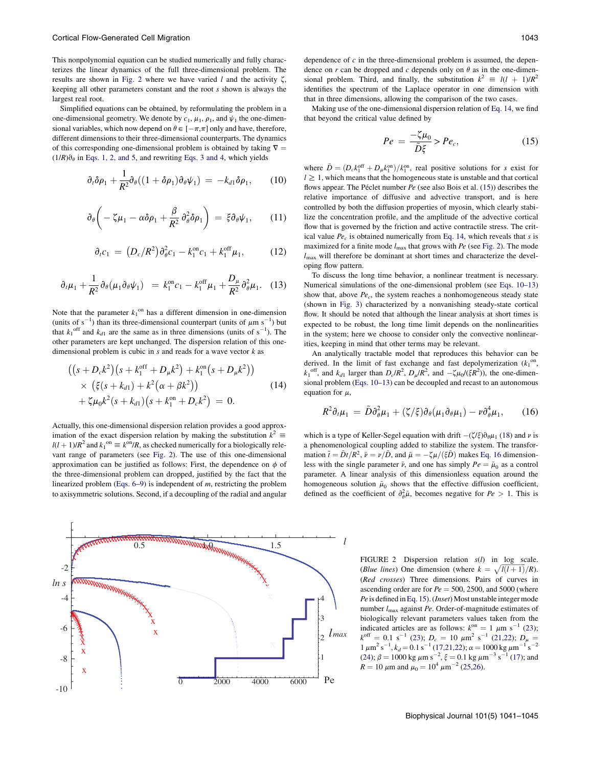This nonpolynomial equation can be studied numerically and fully characterizes the linear dynamics of the full three-dimensional problem. The results are shown in [Fig. 2](#page-2-0) where we have varied  $l$  and the activity  $\zeta$ , keeping all other parameters constant and the root s shown is always the largest real root.

Simplified equations can be obtained, by reformulating the problem in a one-dimensional geometry. We denote by  $c_1$ ,  $\mu_1$ ,  $\rho_1$ , and  $\psi_1$  the one-dimensional variables, which now depend on  $\theta \in [-\pi,\pi]$  only and have, therefore, different dimensions to their three-dimensional counterparts. The dynamics of this corresponding one-dimensional problem is obtained by taking  $\nabla =$  $(1/R)\partial_{\theta}$  in [Eqs. 1, 2, and 5](#page-1-0), and rewriting [Eqs. 3 and 4,](#page-1-0) which yields

$$
\partial_t \delta \rho_1 + \frac{1}{R^2} \partial_\theta ((1 + \delta \rho_1) \partial_\theta \psi_1) = -k_{d1} \delta \rho_1, \qquad (10)
$$

$$
\partial_{\theta}\left(-\zeta\mu_1-\alpha\delta\rho_1+\frac{\beta}{R^2}\partial_{\theta}^2\delta\rho_1\right)=\xi\partial_{\theta}\psi_1,\qquad(11)
$$

$$
\partial_t c_1 = (D_c/R^2) \partial_{\theta}^2 c_1 - k_1^{\text{on}} c_1 + k_1^{\text{off}} \mu_1, \qquad (12)
$$

$$
\partial_t \mu_1 + \frac{1}{R^2} \partial_\theta (\mu_1 \partial_\theta \psi_1) = k_1^{\text{on}} c_1 - k_1^{\text{off}} \mu_1 + \frac{D_\mu}{R^2} \partial_\theta^2 \mu_1. \quad (13)
$$

Note that the parameter  $k_1^{\text{on}}$  has a different dimension in one-dimension (units of  $s^{-1}$ ) than its three-dimensional counterpart (units of  $\mu$ m s<sup>-1</sup>) but that  $k_1$ <sup>off</sup> and  $k_{d1}$  are the same as in three dimensions (units of s<sup>-1</sup>). The other parameters are kept unchanged. The dispersion relation of this onedimensional problem is cubic in  $s$  and reads for a wave vector  $k$  as

$$
((s+D_c k^2)(s+k_1^{\text{off}}+D_{\mu} k^2)+k_1^{\text{on}}(s+D_{\mu} k^2))
$$
  
 
$$
\times (\xi(s+k_{d1})+k^2(\alpha+\beta k^2)) + \zeta\mu_0 k^2(s+k_{d1})(s+k_1^{\text{on}}+D_c k^2) = 0.
$$
 (14)

Actually, this one-dimensional dispersion relation provides a good approximation of the exact dispersion relation by making the substitution  $k^2 \equiv$  $l(l + 1)/R^2$  and  $k_1$ <sup>on</sup>  $\equiv k^{0n}/R$ , as checked numerically for a biologically relevant range of parameters (see [Fig. 2](#page-2-0)). The use of this one-dimensional approximation can be justified as follows: First, the dependence on  $\phi$  of the three-dimensional problem can dropped, justified by the fact that the linearized problem ([Eqs. 6–9\)](#page-1-0) is independent of m, restricting the problem to axisymmetric solutions. Second, if a decoupling of the radial and angular

<span id="page-2-0"></span>

dependence of  $c$  in the three-dimensional problem is assumed, the dependence on r can be dropped and c depends only on  $\theta$  as in the one-dimensional problem. Third, and finally, the substitution  $k^2 \equiv l(l + 1)/R^2$ identifies the spectrum of the Laplace operator in one dimension with that in three dimensions, allowing the comparison of the two cases.

Making use of the one-dimensional dispersion relation of [Eq. 14](#page-2-0), we find that beyond the critical value defined by

$$
Pe = \frac{-\zeta \mu_0}{\tilde{D}\xi} > Pe_c,\tag{15}
$$

where  $\tilde{D} = (D_c k_1^{\text{off}} + D_{\mu} k_1^{\text{on}})/k_1^{\text{on}}$ , real positive solutions for s exist for  $l \geq 1$ , which means that the homogeneous state is unstable and that cortical flows appear. The Péclet number  $Pe$  (see also Bois et al. ([15\)](#page-4-0)) describes the relative importance of diffusive and advective transport, and is here controlled by both the diffusion properties of myosin, which clearly stabilize the concentration profile, and the amplitude of the advective cortical flow that is governed by the friction and active contractile stress. The critical value  $Pe<sub>c</sub>$  is obtained numerically from [Eq. 14,](#page-2-0) which reveals that s is maximized for a finite mode  $l_{\text{max}}$  that grows with  $Pe$  (see [Fig. 2\)](#page-2-0). The mode  $l_{\text{max}}$  will therefore be dominant at short times and characterize the developing flow pattern.

To discuss the long time behavior, a nonlinear treatment is necessary. Numerical simulations of the one-dimensional problem (see [Eqs. 10–13\)](#page-2-0) show that, above  $Pe<sub>c</sub>$ , the system reaches a nonhomogeneous steady state (shown in [Fig. 3](#page-3-0)) characterized by a nonvanishing steady-state cortical flow. It should be noted that although the linear analysis at short times is expected to be robust, the long time limit depends on the nonlinearities in the system; here we choose to consider only the convective nonlinearities, keeping in mind that other terms may be relevant.

An analytically tractable model that reproduces this behavior can be derived. In the limit of fast exchange and fast depolymerization  $(k_1^{\text{on}},$  $k_1^{\text{off}}$ , and  $k_{d1}$  larger than  $D_c/R^2$ ,  $D_\mu/R^2$ , and  $-\zeta\mu_0/(\zeta R^2)$ , the one-dimensional problem [\(Eqs. 10–13](#page-2-0)) can be decoupled and recast to an autonomous equation for  $\mu$ ,

$$
R^2 \partial_t \mu_1 = \tilde{D} \partial_\theta^2 \mu_1 + (\zeta/\xi) \partial_\theta (\mu_1 \partial_\theta \mu_1) - \nu \partial_\theta^4 \mu_1, \qquad (16)
$$

which is a type of Keller-Segel equation with drift  $-(\zeta/\zeta)\partial_{\theta}\mu_1$  ([18\)](#page-4-0) and v is a phenomenological coupling added to stabilize the system. The transformation  $\tilde{t} = \tilde{D}t/R^2$ ,  $\tilde{\nu} = \nu/\tilde{D}$ , and  $\tilde{\mu} = -\zeta\mu/(\xi\tilde{D})$  makes [Eq. 16](#page-2-0) dimensionless with the single parameter  $\tilde{\nu}$ , and one has simply  $Pe = \tilde{\mu}_0$  as a control parameter. A linear analysis of this dimensionless equation around the homogeneous solution  $\tilde{\mu}_0$  shows that the effective diffusion coefficient, defined as the coefficient of  $\partial_{\theta}^{2} \tilde{\mu}$ , becomes negative for  $Pe > 1$ . This is

> FIGURE 2 Dispersion relation  $s(l)$  in log scale. (Blue lines) One dimension (where  $k = \sqrt{l(l+1)}/R$ ). (Red crosses) Three dimensions. Pairs of curves in ascending order are for  $Pe = 500$ , 2500, and 5000 (where Pe is defined in[Eq. 15](#page-2-0)). (Inset) Most unstable integer mode number  $l_{\text{max}}$  against Pe. Order-of-magnitude estimates of biologically relevant parameters values taken from the indicated articles are as follows:  $k^{on} = 1 \mu m s^{-1}$  ([23\)](#page-4-0);  $k^{\text{off}} = 0.1 \text{ s}^{-1}$  [\(23](#page-4-0));  $D_c = 10 \text{ }\mu\text{m}^2 \text{ s}^{-1}$  ([21,22](#page-4-0));  $D_\mu =$  $1 \mu m^2 s^{-1}$ ,  $k_d = 0.1 s^{-1}$  [\(17,21,22](#page-4-0));  $\alpha = 1000 \text{ kg } \mu \text{m}^{-1} \text{ s}^{-2}$ ([24](#page-4-0));  $\beta = 1000 \text{ kg } \mu \text{m s}^{-2}$ ,  $\xi = 0.1 \text{ kg } \mu \text{m}^{-3} \text{ s}^{-1}$  [\(17](#page-4-0)); and  $R = 10 \ \mu \text{m}$  and  $\mu_0 = 10^4 \ \mu \text{m}^{-2}$  ([25,26\)](#page-4-0).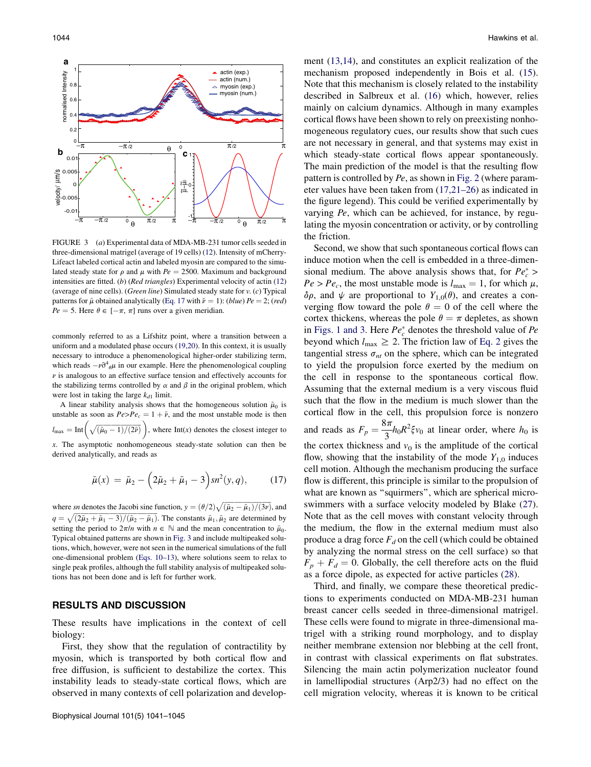

FIGURE 3 (a) Experimental data of MDA-MB-231 tumor cells seeded in three-dimensional matrigel (average of 19 cells) [\(12](#page-4-0)). Intensity of mCherry-Lifeact labeled cortical actin and labeled myosin are compared to the simulated steady state for  $\rho$  and  $\mu$  with  $Pe = 2500$ . Maximum and background intensities are fitted. (b) (Red triangles) Experimental velocity of actin ([12\)](#page-4-0) (average of nine cells). (Green line) Simulated steady state for v. (c) Typical patterns for  $\tilde{\mu}$  obtained analytically [\(Eq. 17](#page-3-0) with  $\tilde{\nu} = 1$ ): (blue) Pe = 2; (red)  $Pe = 5$ . Here  $\theta \in [-\pi, \pi]$  runs over a given meridian.

commonly referred to as a Lifshitz point, where a transition between a uniform and a modulated phase occurs ([19,20](#page-4-0)). In this context, it is usually necessary to introduce a phenomenological higher-order stabilizing term, which reads  $-v\partial^4\theta\mu$  in our example. Here the phenomenological coupling  $\nu$  is analogous to an effective surface tension and effectively accounts for the stabilizing terms controlled by  $\alpha$  and  $\beta$  in the original problem, which were lost in taking the large  $k_{d1}$  limit.

A linear stability analysis shows that the homogeneous solution  $\tilde{\mu}_0$  is unstable as soon as  $Pe > Pe_c = 1 + \tilde{\nu}$ , and the most unstable mode is then  $l_{\text{max}} = \text{Int}\left(\sqrt{(\tilde{\mu}_0 - 1)/(2\tilde{\nu})}\right)$ , where  $\text{Int}(x)$  denotes the closest integer to  $x$ . The asymptotic nonhomogeneous steady-state solution can then be derived analytically, and reads as

$$
\tilde{\mu}(x) = \tilde{\mu}_2 - (2\tilde{\mu}_2 + \tilde{\mu}_1 - 3) sn^2(y, q), \quad (17)
$$

where sn denotes the Jacobi sine function,  $y = (\theta/2)\sqrt{\frac{\tilde{\mu}_2 - \tilde{\mu}_1}{3\nu}}$ , and  $q = \sqrt{(2\tilde{\mu}_2 + \tilde{\mu}_1 - 3)/(\tilde{\mu}_2 - \tilde{\mu}_1)}$ . The constants  $\tilde{\mu}_1, \tilde{\mu}_2$  are determined by setting the period to  $2\pi/n$  with  $n \in \mathbb{N}$  and the mean concentration to  $\tilde{\mu}_0$ . Typical obtained patterns are shown in [Fig. 3](#page-3-0) and include multipeaked solutions, which, however, were not seen in the numerical simulations of the full one-dimensional problem [\(Eqs. 10–13](#page-2-0)), where solutions seem to relax to single peak profiles, although the full stability analysis of multipeaked solutions has not been done and is left for further work.

### RESULTS AND DISCUSSION

These results have implications in the context of cell biology:

<span id="page-3-0"></span>First, they show that the regulation of contractility by myosin, which is transported by both cortical flow and free diffusion, is sufficient to destabilize the cortex. This instability leads to steady-state cortical flows, which are observed in many contexts of cell polarization and development [\(13,14\)](#page-4-0), and constitutes an explicit realization of the mechanism proposed independently in Bois et al. ([15\)](#page-4-0). Note that this mechanism is closely related to the instability described in Salbreux et al. ([16\)](#page-4-0) which, however, relies mainly on calcium dynamics. Although in many examples cortical flows have been shown to rely on preexisting nonhomogeneous regulatory cues, our results show that such cues are not necessary in general, and that systems may exist in which steady-state cortical flows appear spontaneously. The main prediction of the model is that the resulting flow pattern is controlled by Pe, as shown in [Fig. 2](#page-2-0) (where parameter values have been taken from [\(17,21–26\)](#page-4-0) as indicated in the figure legend). This could be verified experimentally by varying Pe, which can be achieved, for instance, by regulating the myosin concentration or activity, or by controlling the friction.

Second, we show that such spontaneous cortical flows can induce motion when the cell is embedded in a three-dimensional medium. The above analysis shows that, for  $Pe_c^*$  >  $Pe > Pe_c$ , the most unstable mode is  $l_{\text{max}} = 1$ , for which  $\mu$ ,  $\delta \rho$ , and  $\psi$  are proportional to  $Y_{1,0}(\theta)$ , and creates a converging flow toward the pole  $\theta = 0$  of the cell where the cortex thickens, whereas the pole  $\theta = \pi$  depletes, as shown in [Figs. 1 and 3.](#page-1-0) Here  $Pe_c^*$  denotes the threshold value of  $Pe$ beyond which  $l_{\text{max}} \geq 2$ . The friction law of [Eq. 2](#page-1-0) gives the tangential stress  $\sigma_{nt}$  on the sphere, which can be integrated to yield the propulsion force exerted by the medium on the cell in response to the spontaneous cortical flow. Assuming that the external medium is a very viscous fluid such that the flow in the medium is much slower than the cortical flow in the cell, this propulsion force is nonzero and reads as  $F_p = \frac{8\pi}{3}h_0R^2\xi v_0$  at linear order, where  $h_0$  is the cortex thickness and  $v_0$  is the amplitude of the cortical flow, showing that the instability of the mode  $Y_{1,0}$  induces cell motion. Although the mechanism producing the surface flow is different, this principle is similar to the propulsion of what are known as "squirmers", which are spherical microswimmers with a surface velocity modeled by Blake ([27\)](#page-4-0). Note that as the cell moves with constant velocity through the medium, the flow in the external medium must also produce a drag force  $F_d$  on the cell (which could be obtained by analyzing the normal stress on the cell surface) so that  $F_p + F_d = 0$ . Globally, the cell therefore acts on the fluid as a force dipole, as expected for active particles ([28\)](#page-4-0).

Third, and finally, we compare these theoretical predictions to experiments conducted on MDA-MB-231 human breast cancer cells seeded in three-dimensional matrigel. These cells were found to migrate in three-dimensional matrigel with a striking round morphology, and to display neither membrane extension nor blebbing at the cell front, in contrast with classical experiments on flat substrates. Silencing the main actin polymerization nucleator found in lamellipodial structures (Arp2/3) had no effect on the cell migration velocity, whereas it is known to be critical